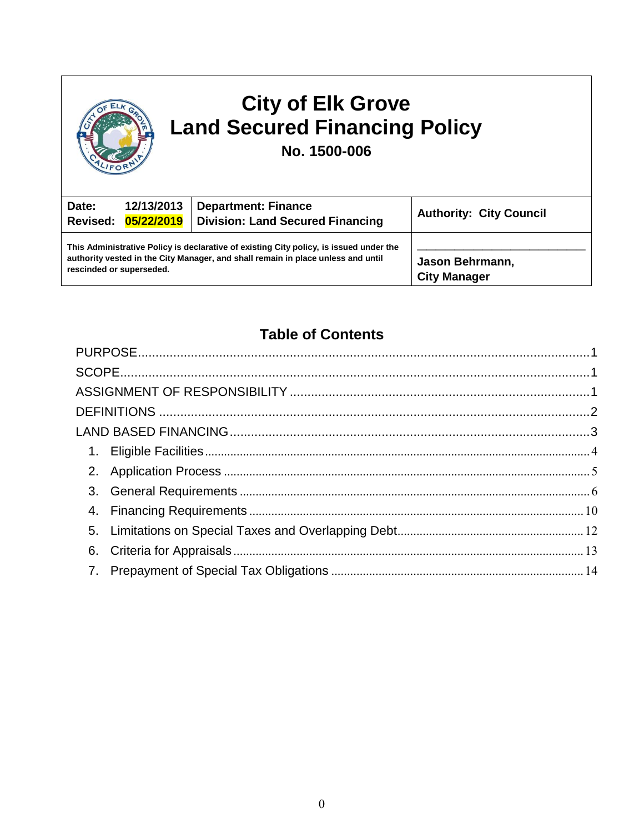| <b>City of Elk Grove</b><br><b>Land Secured Financing Policy</b><br>No. 1500-006 |                                   |                                                                                                                                                                            |                                        |  |  |
|----------------------------------------------------------------------------------|-----------------------------------|----------------------------------------------------------------------------------------------------------------------------------------------------------------------------|----------------------------------------|--|--|
| Date:                                                                            | 12/13/2013<br>Revised: 05/22/2019 | <b>Department: Finance</b><br><b>Division: Land Secured Financing</b>                                                                                                      | <b>Authority: City Council</b>         |  |  |
|                                                                                  | rescinded or superseded.          | This Administrative Policy is declarative of existing City policy, is issued under the<br>authority vested in the City Manager, and shall remain in place unless and until | Jason Behrmann,<br><b>City Manager</b> |  |  |

# **Table of Contents**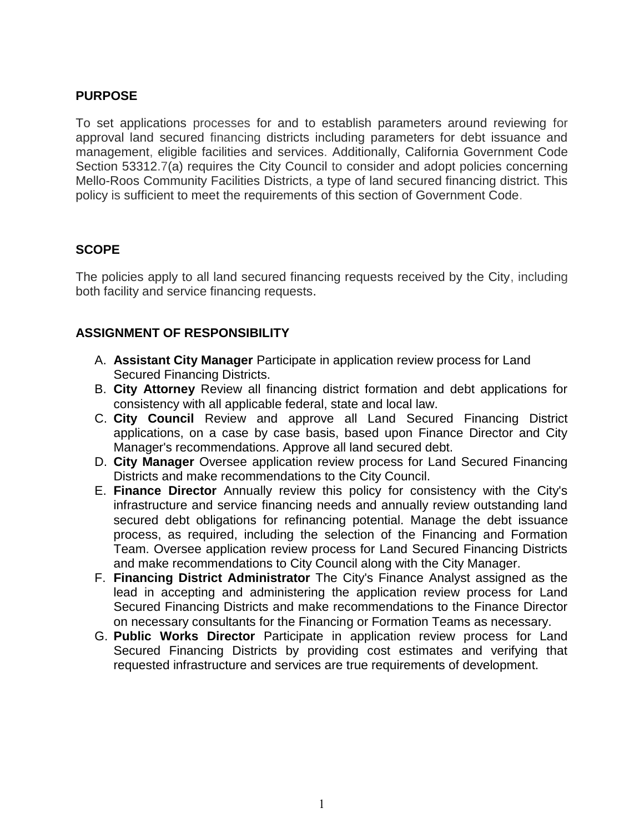# <span id="page-1-0"></span>**PURPOSE**

To set applications processes for and to establish parameters around reviewing for approval land secured financing districts including parameters for debt issuance and management, eligible facilities and services. Additionally, California Government Code Section 53312.7(a) requires the City Council to consider and adopt policies concerning Mello-Roos Community Facilities Districts, a type of land secured financing district. This policy is sufficient to meet the requirements of this section of Government Code.

# <span id="page-1-1"></span>**SCOPE**

The policies apply to all land secured financing requests received by the City, including both facility and service financing requests.

# <span id="page-1-2"></span>**ASSIGNMENT OF RESPONSIBILITY**

- A. **Assistant City Manager** Participate in application review process for Land Secured Financing Districts.
- B. **City Attorney** Review all financing district formation and debt applications for consistency with all applicable federal, state and local law.
- C. **City Council** Review and approve all Land Secured Financing District applications, on a case by case basis, based upon Finance Director and City Manager's recommendations. Approve all land secured debt.
- D. **City Manager** Oversee application review process for Land Secured Financing Districts and make recommendations to the City Council.
- E. **Finance Director** Annually review this policy for consistency with the City's infrastructure and service financing needs and annually review outstanding land secured debt obligations for refinancing potential. Manage the debt issuance process, as required, including the selection of the Financing and Formation Team. Oversee application review process for Land Secured Financing Districts and make recommendations to City Council along with the City Manager.
- F. **Financing District Administrator** The City's Finance Analyst assigned as the lead in accepting and administering the application review process for Land Secured Financing Districts and make recommendations to the Finance Director on necessary consultants for the Financing or Formation Teams as necessary.
- G. **Public Works Director** Participate in application review process for Land Secured Financing Districts by providing cost estimates and verifying that requested infrastructure and services are true requirements of development.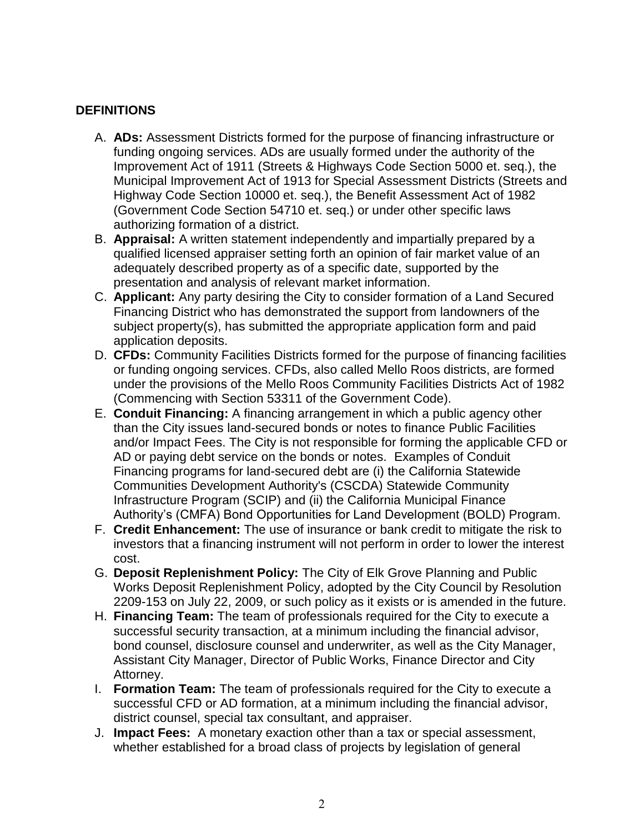# <span id="page-2-0"></span>**DEFINITIONS**

- A. **ADs:** Assessment Districts formed for the purpose of financing infrastructure or funding ongoing services. ADs are usually formed under the authority of the Improvement Act of 1911 (Streets & Highways Code Section 5000 et. seq.), the Municipal Improvement Act of 1913 for Special Assessment Districts (Streets and Highway Code Section 10000 et. seq.), the Benefit Assessment Act of 1982 (Government Code Section 54710 et. seq.) or under other specific laws authorizing formation of a district.
- B. **Appraisal:** A written statement independently and impartially prepared by a qualified licensed appraiser setting forth an opinion of fair market value of an adequately described property as of a specific date, supported by the presentation and analysis of relevant market information.
- C. **Applicant:** Any party desiring the City to consider formation of a Land Secured Financing District who has demonstrated the support from landowners of the subject property(s), has submitted the appropriate application form and paid application deposits.
- D. **CFDs:** Community Facilities Districts formed for the purpose of financing facilities or funding ongoing services. CFDs, also called Mello Roos districts, are formed under the provisions of the Mello Roos Community Facilities Districts Act of 1982 (Commencing with Section 53311 of the Government Code).
- E. **Conduit Financing:** A financing arrangement in which a public agency other than the City issues land-secured bonds or notes to finance Public Facilities and/or Impact Fees. The City is not responsible for forming the applicable CFD or AD or paying debt service on the bonds or notes. Examples of Conduit Financing programs for land-secured debt are (i) the California Statewide Communities Development Authority's (CSCDA) Statewide Community Infrastructure Program (SCIP) and (ii) the California Municipal Finance Authority's (CMFA) Bond Opportunities for Land Development (BOLD) Program.
- F. **Credit Enhancement:** The use of insurance or bank credit to mitigate the risk to investors that a financing instrument will not perform in order to lower the interest cost.
- G. **Deposit Replenishment Policy:** The City of Elk Grove Planning and Public Works Deposit Replenishment Policy, adopted by the City Council by Resolution 2209-153 on July 22, 2009, or such policy as it exists or is amended in the future.
- H. **Financing Team:** The team of professionals required for the City to execute a successful security transaction, at a minimum including the financial advisor, bond counsel, disclosure counsel and underwriter, as well as the City Manager, Assistant City Manager, Director of Public Works, Finance Director and City Attorney.
- I. **Formation Team:** The team of professionals required for the City to execute a successful CFD or AD formation, at a minimum including the financial advisor, district counsel, special tax consultant, and appraiser.
- J. **Impact Fees:** A monetary exaction other than a tax or special assessment, whether established for a broad class of projects by legislation of general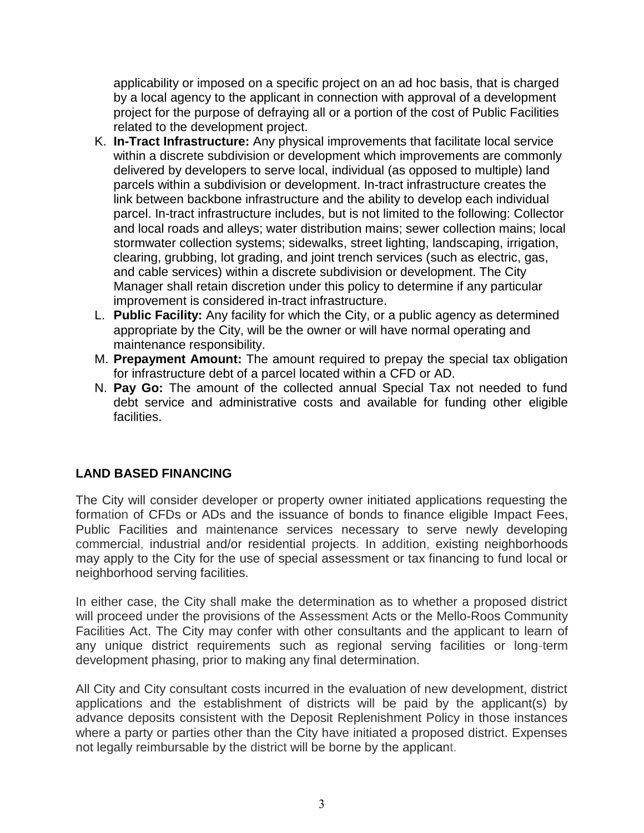applicability or imposed on a specific project on an ad hoc basis, that is charged by a local agency to the applicant in connection with approval of a development project for the purpose of defraying all or a portion of the cost of Public Facilities related to the development project.

- K. **In-Tract Infrastructure:** Any physical improvements that facilitate local service within a discrete subdivision or development which improvements are commonly delivered by developers to serve local, individual (as opposed to multiple) land parcels within a subdivision or development. In-tract infrastructure creates the link between backbone infrastructure and the ability to develop each individual parcel. In-tract infrastructure includes, but is not limited to the following: Collector and local roads and alleys; water distribution mains; sewer collection mains; local stormwater collection systems; sidewalks, street lighting, landscaping, irrigation, clearing, grubbing, lot grading, and joint trench services (such as electric, gas, and cable services) within a discrete subdivision or development. The City Manager shall retain discretion under this policy to determine if any particular improvement is considered in-tract infrastructure.
- L. **Public Facility:** Any facility for which the City, or a public agency as determined appropriate by the City, will be the owner or will have normal operating and maintenance responsibility.
- M. **Prepayment Amount:** The amount required to prepay the special tax obligation for infrastructure debt of a parcel located within a CFD or AD.
- N. **Pay Go:** The amount of the collected annual Special Tax not needed to fund debt service and administrative costs and available for funding other eligible facilities.

# <span id="page-3-0"></span>**LAND BASED FINANCING**

The City will consider developer or property owner initiated applications requesting the formation of CFDs or ADs and the issuance of bonds to finance eligible Impact Fees, Public Facilities and maintenance services necessary to serve newly developing commercial, industrial and/or residential projects. In addition, existing neighborhoods may apply to the City for the use of special assessment or tax financing to fund local or neighborhood serving facilities.

In either case, the City shall make the determination as to whether a proposed district will proceed under the provisions of the Assessment Acts or the Mello-Roos Community Facilities Act. The City may confer with other consultants and the applicant to learn of any unique district requirements such as regional serving facilities or long-term development phasing, prior to making any final determination.

All City and City consultant costs incurred in the evaluation of new development, district applications and the establishment of districts will be paid by the applicant(s) by advance deposits consistent with the Deposit Replenishment Policy in those instances where a party or parties other than the City have initiated a proposed district. Expenses not legally reimbursable by the district will be borne by the applicant.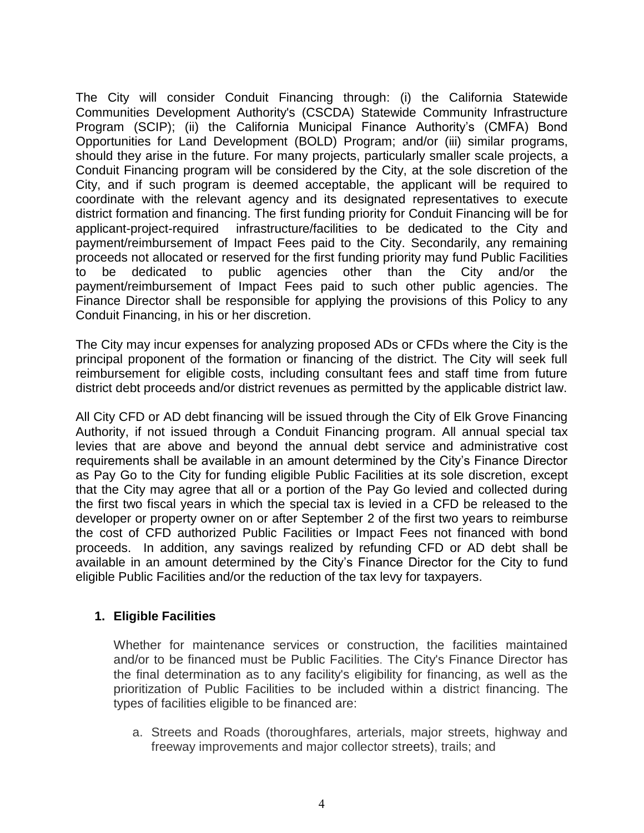The City will consider Conduit Financing through: (i) the California Statewide Communities Development Authority's (CSCDA) Statewide Community Infrastructure Program (SCIP); (ii) the California Municipal Finance Authority's (CMFA) Bond Opportunities for Land Development (BOLD) Program; and/or (iii) similar programs, should they arise in the future. For many projects, particularly smaller scale projects, a Conduit Financing program will be considered by the City, at the sole discretion of the City, and if such program is deemed acceptable, the applicant will be required to coordinate with the relevant agency and its designated representatives to execute district formation and financing. The first funding priority for Conduit Financing will be for applicant-project-required infrastructure/facilities to be dedicated to the City and payment/reimbursement of Impact Fees paid to the City. Secondarily, any remaining proceeds not allocated or reserved for the first funding priority may fund Public Facilities to be dedicated to public agencies other than the City and/or the payment/reimbursement of Impact Fees paid to such other public agencies. The Finance Director shall be responsible for applying the provisions of this Policy to any Conduit Financing, in his or her discretion.

The City may incur expenses for analyzing proposed ADs or CFDs where the City is the principal proponent of the formation or financing of the district. The City will seek full reimbursement for eligible costs, including consultant fees and staff time from future district debt proceeds and/or district revenues as permitted by the applicable district law.

All City CFD or AD debt financing will be issued through the City of Elk Grove Financing Authority, if not issued through a Conduit Financing program. All annual special tax levies that are above and beyond the annual debt service and administrative cost requirements shall be available in an amount determined by the City's Finance Director as Pay Go to the City for funding eligible Public Facilities at its sole discretion, except that the City may agree that all or a portion of the Pay Go levied and collected during the first two fiscal years in which the special tax is levied in a CFD be released to the developer or property owner on or after September 2 of the first two years to reimburse the cost of CFD authorized Public Facilities or Impact Fees not financed with bond proceeds. In addition, any savings realized by refunding CFD or AD debt shall be available in an amount determined by the City's Finance Director for the City to fund eligible Public Facilities and/or the reduction of the tax levy for taxpayers.

### <span id="page-4-0"></span>**1. Eligible Facilities**

Whether for maintenance services or construction, the facilities maintained and/or to be financed must be Public Facilities. The City's Finance Director has the final determination as to any facility's eligibility for financing, as well as the prioritization of Public Facilities to be included within a district financing. The types of facilities eligible to be financed are:

a. Streets and Roads (thoroughfares, arterials, major streets, highway and freeway improvements and major collector streets), trails; and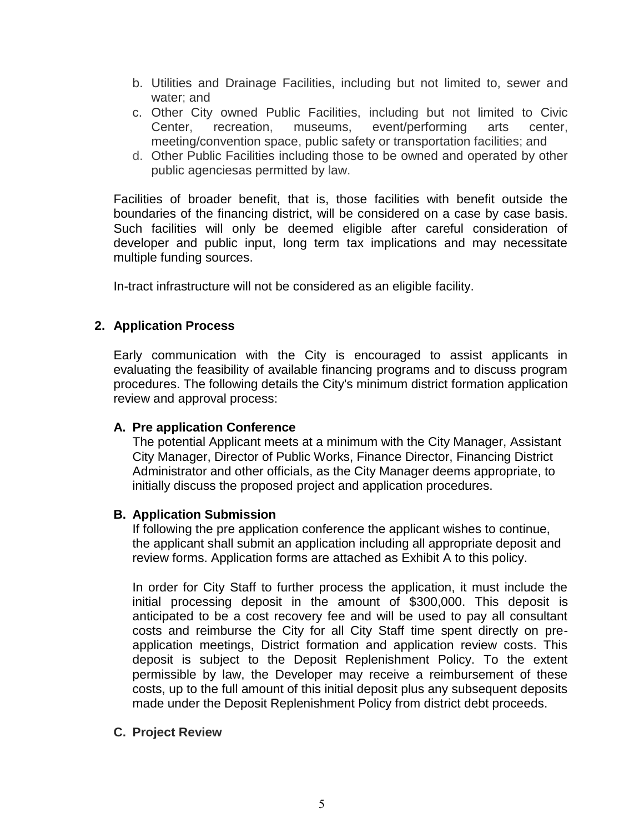- b. Utilities and Drainage Facilities, including but not limited to, sewer and water; and
- c. Other City owned Public Facilities, including but not limited to Civic Center, recreation, museums, event/performing arts center, meeting/convention space, public safety or transportation facilities; and
- d. Other Public Facilities including those to be owned and operated by other public agenciesas permitted by law.

Facilities of broader benefit, that is, those facilities with benefit outside the boundaries of the financing district, will be considered on a case by case basis. Such facilities will only be deemed eligible after careful consideration of developer and public input, long term tax implications and may necessitate multiple funding sources.

In-tract infrastructure will not be considered as an eligible facility.

# <span id="page-5-0"></span>**2. Application Process**

Early communication with the City is encouraged to assist applicants in evaluating the feasibility of available financing programs and to discuss program procedures. The following details the City's minimum district formation application review and approval process:

### **A. Pre application Conference**

The potential Applicant meets at a minimum with the City Manager, Assistant City Manager, Director of Public Works, Finance Director, Financing District Administrator and other officials, as the City Manager deems appropriate, to initially discuss the proposed project and application procedures.

#### **B. Application Submission**

If following the pre application conference the applicant wishes to continue, the applicant shall submit an application including all appropriate deposit and review forms. Application forms are attached as Exhibit A to this policy.

In order for City Staff to further process the application, it must include the initial processing deposit in the amount of \$300,000. This deposit is anticipated to be a cost recovery fee and will be used to pay all consultant costs and reimburse the City for all City Staff time spent directly on preapplication meetings, District formation and application review costs. This deposit is subject to the Deposit Replenishment Policy. To the extent permissible by law, the Developer may receive a reimbursement of these costs, up to the full amount of this initial deposit plus any subsequent deposits made under the Deposit Replenishment Policy from district debt proceeds.

#### **C. Project Review**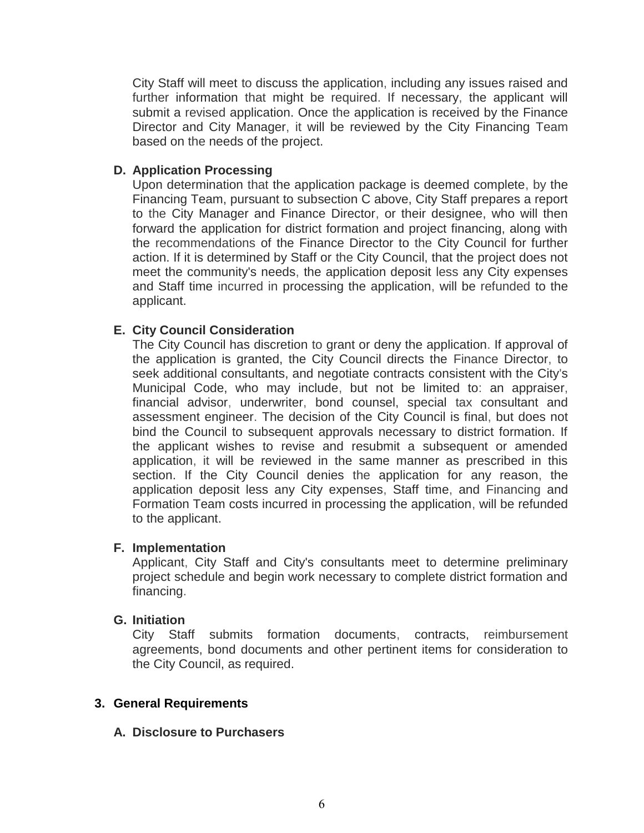City Staff will meet to discuss the application, including any issues raised and further information that might be required. If necessary, the applicant will submit a revised application. Once the application is received by the Finance Director and City Manager, it will be reviewed by the City Financing Team based on the needs of the project.

## **D. Application Processing**

Upon determination that the application package is deemed complete, by the Financing Team, pursuant to subsection C above, City Staff prepares a report to the City Manager and Finance Director, or their designee, who will then forward the application for district formation and project financing, along with the recommendations of the Finance Director to the City Council for further action. If it is determined by Staff or the City Council, that the project does not meet the community's needs, the application deposit less any City expenses and Staff time incurred in processing the application, will be refunded to the applicant.

# **E. City Council Consideration**

The City Council has discretion to grant or deny the application. If approval of the application is granted, the City Council directs the Finance Director, to seek additional consultants, and negotiate contracts consistent with the City's Municipal Code, who may include, but not be limited to: an appraiser, financial advisor, underwriter, bond counsel, special tax consultant and assessment engineer. The decision of the City Council is final, but does not bind the Council to subsequent approvals necessary to district formation. If the applicant wishes to revise and resubmit a subsequent or amended application, it will be reviewed in the same manner as prescribed in this section. If the City Council denies the application for any reason, the application deposit less any City expenses, Staff time, and Financing and Formation Team costs incurred in processing the application, will be refunded to the applicant.

### **F. Implementation**

Applicant, City Staff and City's consultants meet to determine preliminary project schedule and begin work necessary to complete district formation and financing.

### **G. Initiation**

City Staff submits formation documents, contracts, reimbursement agreements, bond documents and other pertinent items for consideration to the City Council, as required.

### <span id="page-6-0"></span>**3. General Requirements**

### **A. Disclosure to Purchasers**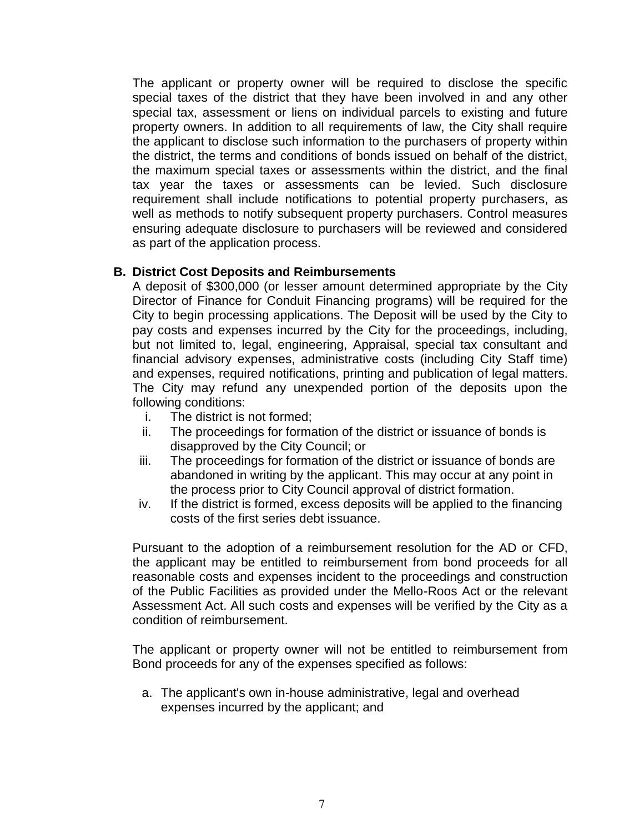The applicant or property owner will be required to disclose the specific special taxes of the district that they have been involved in and any other special tax, assessment or liens on individual parcels to existing and future property owners. In addition to all requirements of law, the City shall require the applicant to disclose such information to the purchasers of property within the district, the terms and conditions of bonds issued on behalf of the district, the maximum special taxes or assessments within the district, and the final tax year the taxes or assessments can be levied. Such disclosure requirement shall include notifications to potential property purchasers, as well as methods to notify subsequent property purchasers. Control measures ensuring adequate disclosure to purchasers will be reviewed and considered as part of the application process.

### **B. District Cost Deposits and Reimbursements**

A deposit of \$300,000 (or lesser amount determined appropriate by the City Director of Finance for Conduit Financing programs) will be required for the City to begin processing applications. The Deposit will be used by the City to pay costs and expenses incurred by the City for the proceedings, including, but not limited to, legal, engineering, Appraisal, special tax consultant and financial advisory expenses, administrative costs (including City Staff time) and expenses, required notifications, printing and publication of legal matters. The City may refund any unexpended portion of the deposits upon the following conditions:

- i. The district is not formed;
- ii. The proceedings for formation of the district or issuance of bonds is disapproved by the City Council; or
- iii. The proceedings for formation of the district or issuance of bonds are abandoned in writing by the applicant. This may occur at any point in the process prior to City Council approval of district formation.
- iv. If the district is formed, excess deposits will be applied to the financing costs of the first series debt issuance.

Pursuant to the adoption of a reimbursement resolution for the AD or CFD, the applicant may be entitled to reimbursement from bond proceeds for all reasonable costs and expenses incident to the proceedings and construction of the Public Facilities as provided under the Mello-Roos Act or the relevant Assessment Act. All such costs and expenses will be verified by the City as a condition of reimbursement.

The applicant or property owner will not be entitled to reimbursement from Bond proceeds for any of the expenses specified as follows:

a. The applicant's own in-house administrative, legal and overhead expenses incurred by the applicant; and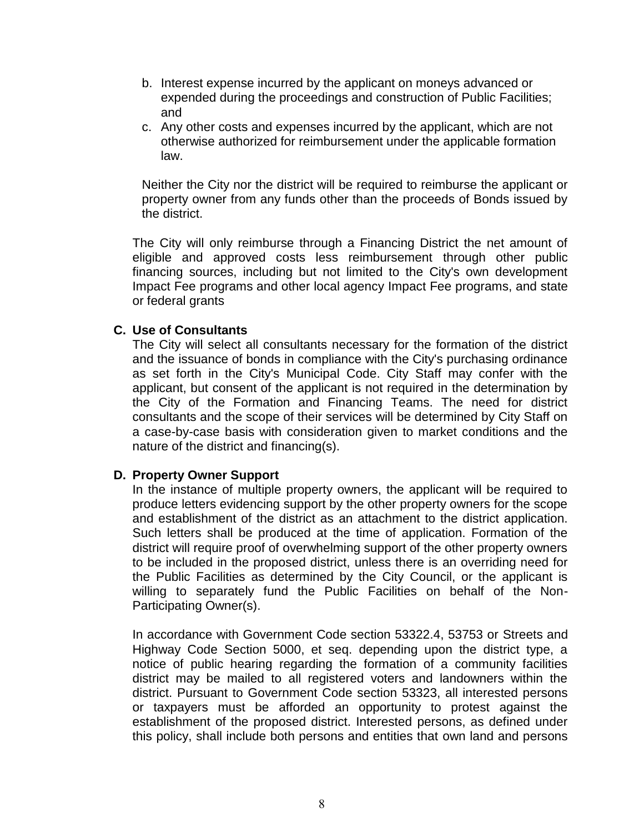- b. Interest expense incurred by the applicant on moneys advanced or expended during the proceedings and construction of Public Facilities; and
- c. Any other costs and expenses incurred by the applicant, which are not otherwise authorized for reimbursement under the applicable formation law.

Neither the City nor the district will be required to reimburse the applicant or property owner from any funds other than the proceeds of Bonds issued by the district.

The City will only reimburse through a Financing District the net amount of eligible and approved costs less reimbursement through other public financing sources, including but not limited to the City's own development Impact Fee programs and other local agency Impact Fee programs, and state or federal grants

#### **C. Use of Consultants**

The City will select all consultants necessary for the formation of the district and the issuance of bonds in compliance with the City's purchasing ordinance as set forth in the City's Municipal Code. City Staff may confer with the applicant, but consent of the applicant is not required in the determination by the City of the Formation and Financing Teams. The need for district consultants and the scope of their services will be determined by City Staff on a case-by-case basis with consideration given to market conditions and the nature of the district and financing(s).

#### **D. Property Owner Support**

In the instance of multiple property owners, the applicant will be required to produce letters evidencing support by the other property owners for the scope and establishment of the district as an attachment to the district application. Such letters shall be produced at the time of application. Formation of the district will require proof of overwhelming support of the other property owners to be included in the proposed district, unless there is an overriding need for the Public Facilities as determined by the City Council, or the applicant is willing to separately fund the Public Facilities on behalf of the Non-Participating Owner(s).

In accordance with Government Code section 53322.4, 53753 or Streets and Highway Code Section 5000, et seq. depending upon the district type, a notice of public hearing regarding the formation of a community facilities district may be mailed to all registered voters and landowners within the district. Pursuant to Government Code section 53323, all interested persons or taxpayers must be afforded an opportunity to protest against the establishment of the proposed district. Interested persons, as defined under this policy, shall include both persons and entities that own land and persons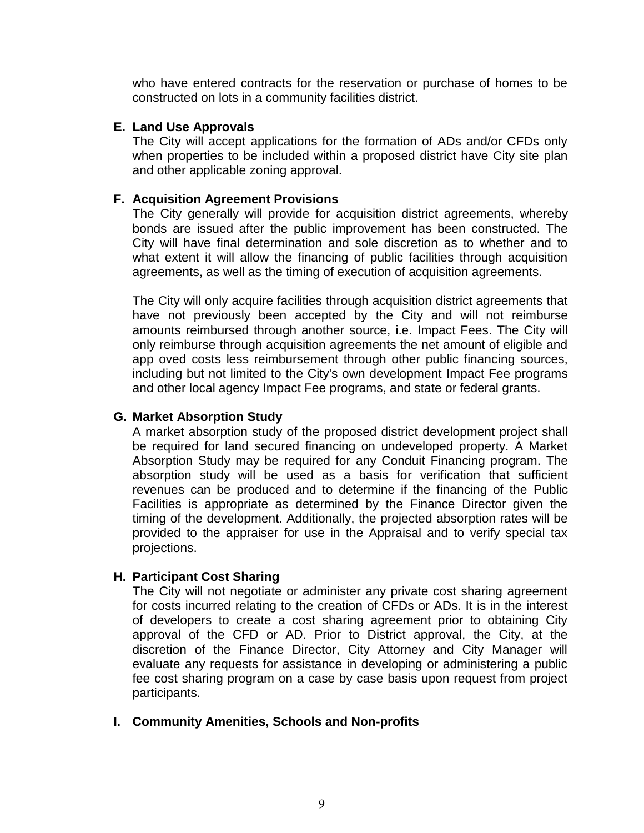who have entered contracts for the reservation or purchase of homes to be constructed on lots in a community facilities district.

#### **E. Land Use Approvals**

The City will accept applications for the formation of ADs and/or CFDs only when properties to be included within a proposed district have City site plan and other applicable zoning approval.

## **F. Acquisition Agreement Provisions**

The City generally will provide for acquisition district agreements, whereby bonds are issued after the public improvement has been constructed. The City will have final determination and sole discretion as to whether and to what extent it will allow the financing of public facilities through acquisition agreements, as well as the timing of execution of acquisition agreements.

The City will only acquire facilities through acquisition district agreements that have not previously been accepted by the City and will not reimburse amounts reimbursed through another source, i.e. Impact Fees. The City will only reimburse through acquisition agreements the net amount of eligible and app oved costs less reimbursement through other public financing sources, including but not limited to the City's own development Impact Fee programs and other local agency Impact Fee programs, and state or federal grants.

### **G. Market Absorption Study**

A market absorption study of the proposed district development project shall be required for land secured financing on undeveloped property. A Market Absorption Study may be required for any Conduit Financing program. The absorption study will be used as a basis for verification that sufficient revenues can be produced and to determine if the financing of the Public Facilities is appropriate as determined by the Finance Director given the timing of the development. Additionally, the projected absorption rates will be provided to the appraiser for use in the Appraisal and to verify special tax projections.

### **H. Participant Cost Sharing**

The City will not negotiate or administer any private cost sharing agreement for costs incurred relating to the creation of CFDs or ADs. It is in the interest of developers to create a cost sharing agreement prior to obtaining City approval of the CFD or AD. Prior to District approval, the City, at the discretion of the Finance Director, City Attorney and City Manager will evaluate any requests for assistance in developing or administering a public fee cost sharing program on a case by case basis upon request from project participants.

### **I. Community Amenities, Schools and Non-profits**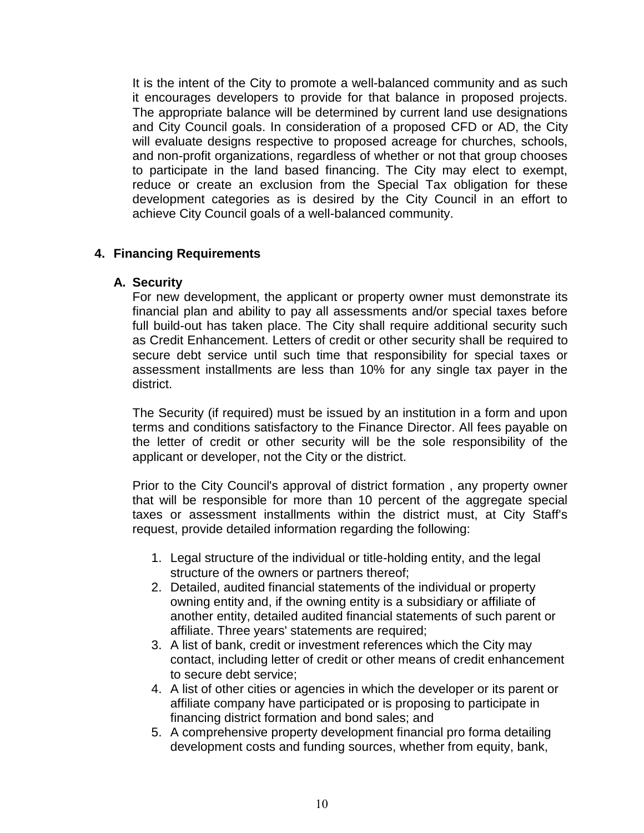It is the intent of the City to promote a well-balanced community and as such it encourages developers to provide for that balance in proposed projects. The appropriate balance will be determined by current land use designations and City Council goals. In consideration of a proposed CFD or AD, the City will evaluate designs respective to proposed acreage for churches, schools, and non-profit organizations, regardless of whether or not that group chooses to participate in the land based financing. The City may elect to exempt, reduce or create an exclusion from the Special Tax obligation for these development categories as is desired by the City Council in an effort to achieve City Council goals of a well-balanced community.

### <span id="page-10-0"></span>**4. Financing Requirements**

### **A. Security**

For new development, the applicant or property owner must demonstrate its financial plan and ability to pay all assessments and/or special taxes before full build-out has taken place. The City shall require additional security such as Credit Enhancement. Letters of credit or other security shall be required to secure debt service until such time that responsibility for special taxes or assessment installments are less than 10% for any single tax payer in the district.

The Security (if required) must be issued by an institution in a form and upon terms and conditions satisfactory to the Finance Director. All fees payable on the letter of credit or other security will be the sole responsibility of the applicant or developer, not the City or the district.

Prior to the City Council's approval of district formation , any property owner that will be responsible for more than 10 percent of the aggregate special taxes or assessment installments within the district must, at City Staff's request, provide detailed information regarding the following:

- 1. Legal structure of the individual or title-holding entity, and the legal structure of the owners or partners thereof;
- 2. Detailed, audited financial statements of the individual or property owning entity and, if the owning entity is a subsidiary or affiliate of another entity, detailed audited financial statements of such parent or affiliate. Three years' statements are required;
- 3. A list of bank, credit or investment references which the City may contact, including letter of credit or other means of credit enhancement to secure debt service;
- 4. A list of other cities or agencies in which the developer or its parent or affiliate company have participated or is proposing to participate in financing district formation and bond sales; and
- 5. A comprehensive property development financial pro forma detailing development costs and funding sources, whether from equity, bank,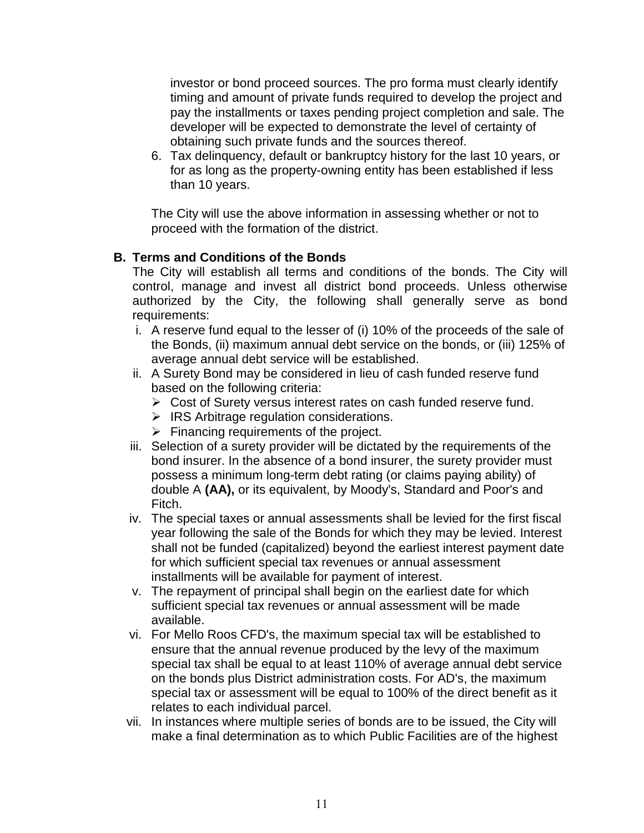investor or bond proceed sources. The pro forma must clearly identify timing and amount of private funds required to develop the project and pay the installments or taxes pending project completion and sale. The developer will be expected to demonstrate the level of certainty of obtaining such private funds and the sources thereof.

6. Tax delinquency, default or bankruptcy history for the last 10 years, or for as long as the property-owning entity has been established if less than 10 years.

The City will use the above information in assessing whether or not to proceed with the formation of the district.

# **B. Terms and Conditions of the Bonds**

The City will establish all terms and conditions of the bonds. The City will control, manage and invest all district bond proceeds. Unless otherwise authorized by the City, the following shall generally serve as bond requirements:

- i. A reserve fund equal to the lesser of (i) 10% of the proceeds of the sale of the Bonds, (ii) maximum annual debt service on the bonds, or (iii) 125% of average annual debt service will be established.
- ii. A Surety Bond may be considered in lieu of cash funded reserve fund based on the following criteria:
	- ➢ Cost of Surety versus interest rates on cash funded reserve fund.
	- ➢ IRS Arbitrage regulation considerations.
	- $\triangleright$  Financing requirements of the project.
- iii. Selection of a surety provider will be dictated by the requirements of the bond insurer. In the absence of a bond insurer, the surety provider must possess a minimum long-term debt rating (or claims paying ability) of double A **(AA),** or its equivalent, by Moody's, Standard and Poor's and Fitch.
- iv. The special taxes or annual assessments shall be levied for the first fiscal year following the sale of the Bonds for which they may be levied. Interest shall not be funded (capitalized) beyond the earliest interest payment date for which sufficient special tax revenues or annual assessment installments will be available for payment of interest.
- v. The repayment of principal shall begin on the earliest date for which sufficient special tax revenues or annual assessment will be made available.
- vi. For Mello Roos CFD's, the maximum special tax will be established to ensure that the annual revenue produced by the levy of the maximum special tax shall be equal to at least 110% of average annual debt service on the bonds plus District administration costs. For AD's, the maximum special tax or assessment will be equal to 100% of the direct benefit as it relates to each individual parcel.
- vii. In instances where multiple series of bonds are to be issued, the City will make a final determination as to which Public Facilities are of the highest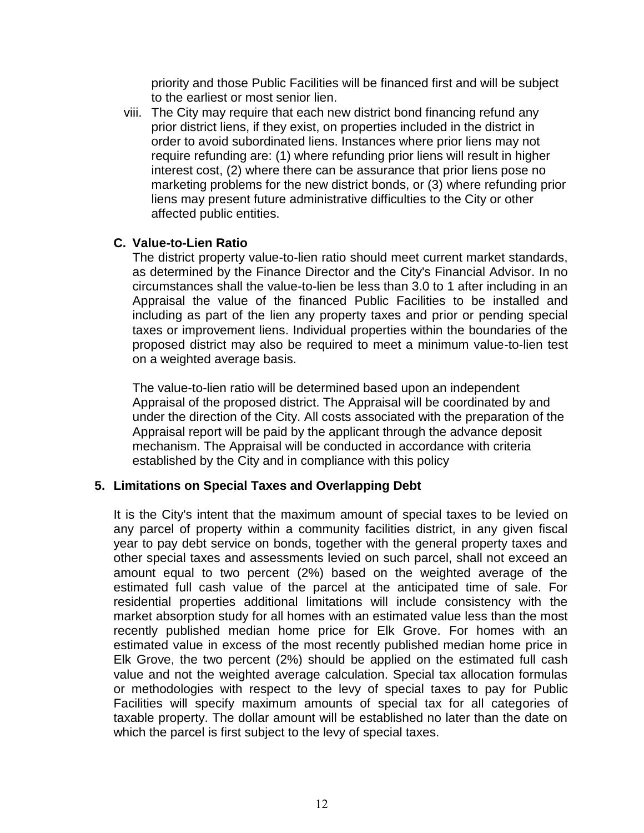priority and those Public Facilities will be financed first and will be subject to the earliest or most senior lien.

viii. The City may require that each new district bond financing refund any prior district liens, if they exist, on properties included in the district in order to avoid subordinated liens. Instances where prior liens may not require refunding are: (1) where refunding prior liens will result in higher interest cost, (2) where there can be assurance that prior liens pose no marketing problems for the new district bonds, or (3) where refunding prior liens may present future administrative difficulties to the City or other affected public entities.

### **C. Value-to-Lien Ratio**

The district property value-to-lien ratio should meet current market standards, as determined by the Finance Director and the City's Financial Advisor. In no circumstances shall the value-to-lien be less than 3.0 to 1 after including in an Appraisal the value of the financed Public Facilities to be installed and including as part of the lien any property taxes and prior or pending special taxes or improvement liens. Individual properties within the boundaries of the proposed district may also be required to meet a minimum value-to-lien test on a weighted average basis.

The value-to-lien ratio will be determined based upon an independent Appraisal of the proposed district. The Appraisal will be coordinated by and under the direction of the City. All costs associated with the preparation of the Appraisal report will be paid by the applicant through the advance deposit mechanism. The Appraisal will be conducted in accordance with criteria established by the City and in compliance with this policy

### <span id="page-12-0"></span>**5. Limitations on Special Taxes and Overlapping Debt**

It is the City's intent that the maximum amount of special taxes to be levied on any parcel of property within a community facilities district, in any given fiscal year to pay debt service on bonds, together with the general property taxes and other special taxes and assessments levied on such parcel, shall not exceed an amount equal to two percent (2%) based on the weighted average of the estimated full cash value of the parcel at the anticipated time of sale. For residential properties additional limitations will include consistency with the market absorption study for all homes with an estimated value less than the most recently published median home price for Elk Grove. For homes with an estimated value in excess of the most recently published median home price in Elk Grove, the two percent (2%) should be applied on the estimated full cash value and not the weighted average calculation. Special tax allocation formulas or methodologies with respect to the levy of special taxes to pay for Public Facilities will specify maximum amounts of special tax for all categories of taxable property. The dollar amount will be established no later than the date on which the parcel is first subject to the levy of special taxes.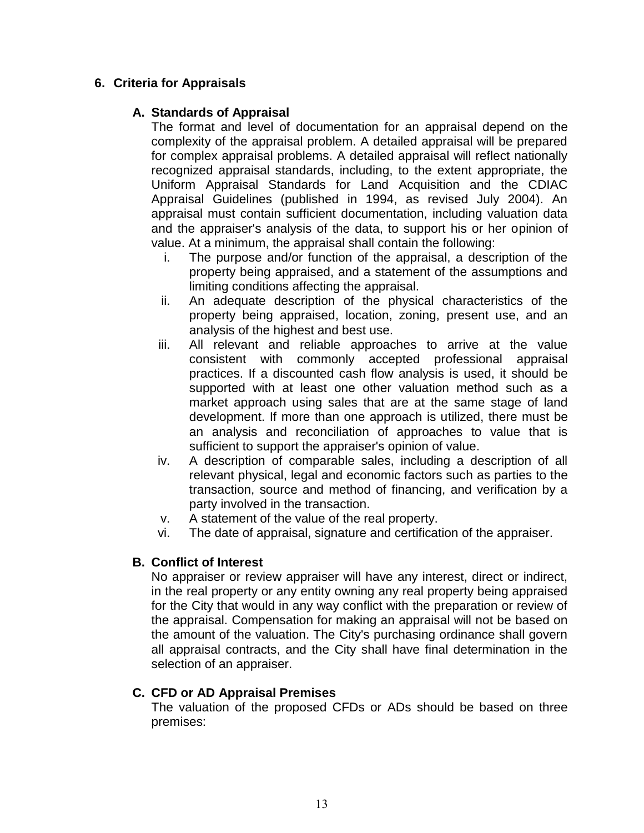# <span id="page-13-0"></span>**6. Criteria for Appraisals**

# **A. Standards of Appraisal**

The format and level of documentation for an appraisal depend on the complexity of the appraisal problem. A detailed appraisal will be prepared for complex appraisal problems. A detailed appraisal will reflect nationally recognized appraisal standards, including, to the extent appropriate, the Uniform Appraisal Standards for Land Acquisition and the CDIAC Appraisal Guidelines (published in 1994, as revised July 2004). An appraisal must contain sufficient documentation, including valuation data and the appraiser's analysis of the data, to support his or her opinion of value. At a minimum, the appraisal shall contain the following:

- i. The purpose and/or function of the appraisal, a description of the property being appraised, and a statement of the assumptions and limiting conditions affecting the appraisal.
- ii. An adequate description of the physical characteristics of the property being appraised, location, zoning, present use, and an analysis of the highest and best use.
- iii. All relevant and reliable approaches to arrive at the value consistent with commonly accepted professional appraisal practices. If a discounted cash flow analysis is used, it should be supported with at least one other valuation method such as a market approach using sales that are at the same stage of land development. If more than one approach is utilized, there must be an analysis and reconciliation of approaches to value that is sufficient to support the appraiser's opinion of value.
- iv. A description of comparable sales, including a description of all relevant physical, legal and economic factors such as parties to the transaction, source and method of financing, and verification by a party involved in the transaction.
- v. A statement of the value of the real property.
- vi. The date of appraisal, signature and certification of the appraiser.

# **B. Conflict of Interest**

No appraiser or review appraiser will have any interest, direct or indirect, in the real property or any entity owning any real property being appraised for the City that would in any way conflict with the preparation or review of the appraisal. Compensation for making an appraisal will not be based on the amount of the valuation. The City's purchasing ordinance shall govern all appraisal contracts, and the City shall have final determination in the selection of an appraiser.

# **C. CFD or AD Appraisal Premises**

The valuation of the proposed CFDs or ADs should be based on three premises: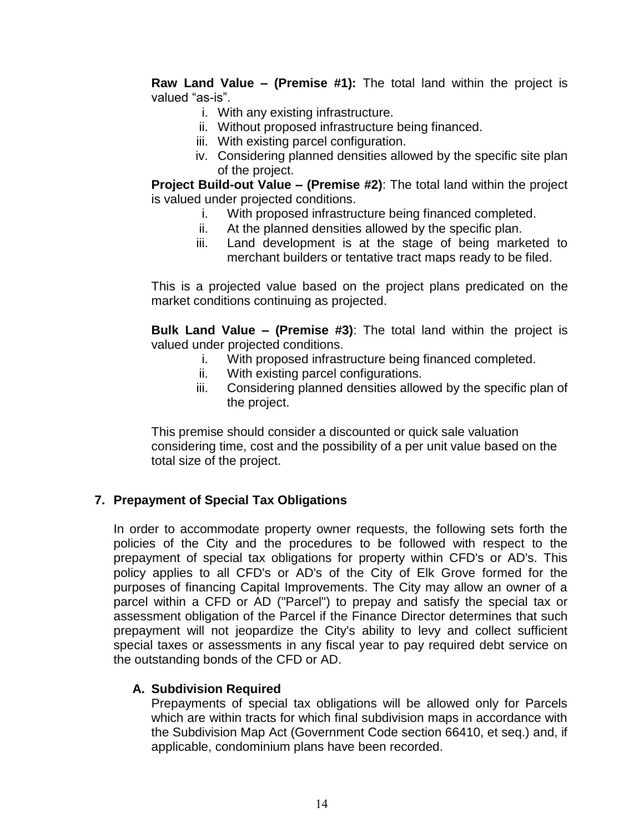**Raw Land Value – (Premise #1):** The total land within the project is valued "as-is".

- i. With any existing infrastructure.
- ii. Without proposed infrastructure being financed.
- iii. With existing parcel configuration.
- iv. Considering planned densities allowed by the specific site plan of the project.

**Project Build-out Value – (Premise #2)**: The total land within the project is valued under projected conditions.

- i. With proposed infrastructure being financed completed.
- ii. At the planned densities allowed by the specific plan.
- iii. Land development is at the stage of being marketed to merchant builders or tentative tract maps ready to be filed.

This is a projected value based on the project plans predicated on the market conditions continuing as projected.

**Bulk Land Value – (Premise #3)**: The total land within the project is valued under projected conditions.

- i. With proposed infrastructure being financed completed.
- ii. With existing parcel configurations.
- iii. Considering planned densities allowed by the specific plan of the project.

This premise should consider a discounted or quick sale valuation considering time, cost and the possibility of a per unit value based on the total size of the project.

### <span id="page-14-0"></span>**7. Prepayment of Special Tax Obligations**

In order to accommodate property owner requests, the following sets forth the policies of the City and the procedures to be followed with respect to the prepayment of special tax obligations for property within CFD's or AD's. This policy applies to all CFD's or AD's of the City of Elk Grove formed for the purposes of financing Capital Improvements. The City may allow an owner of a parcel within a CFD or AD ("Parcel") to prepay and satisfy the special tax or assessment obligation of the Parcel if the Finance Director determines that such prepayment will not jeopardize the City's ability to levy and collect sufficient special taxes or assessments in any fiscal year to pay required debt service on the outstanding bonds of the CFD or AD.

### **A. Subdivision Required**

Prepayments of special tax obligations will be allowed only for Parcels which are within tracts for which final subdivision maps in accordance with the Subdivision Map Act (Government Code section 66410, et seq.) and, if applicable, condominium plans have been recorded.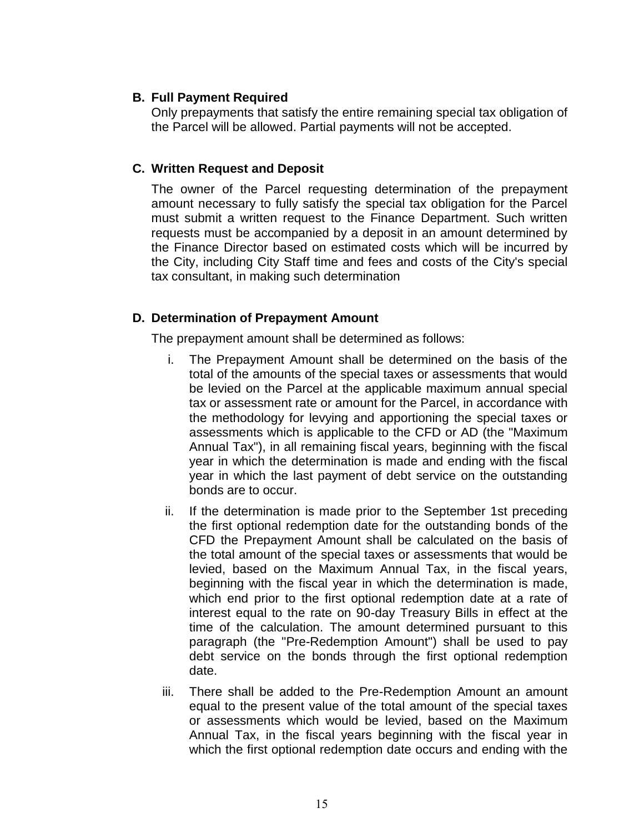#### **B. Full Payment Required**

Only prepayments that satisfy the entire remaining special tax obligation of the Parcel will be allowed. Partial payments will not be accepted.

#### **C. Written Request and Deposit**

The owner of the Parcel requesting determination of the prepayment amount necessary to fully satisfy the special tax obligation for the Parcel must submit a written request to the Finance Department. Such written requests must be accompanied by a deposit in an amount determined by the Finance Director based on estimated costs which will be incurred by the City, including City Staff time and fees and costs of the City's special tax consultant, in making such determination

#### **D. Determination of Prepayment Amount**

The prepayment amount shall be determined as follows:

- i. The Prepayment Amount shall be determined on the basis of the total of the amounts of the special taxes or assessments that would be levied on the Parcel at the applicable maximum annual special tax or assessment rate or amount for the Parcel, in accordance with the methodology for levying and apportioning the special taxes or assessments which is applicable to the CFD or AD (the "Maximum Annual Tax"), in all remaining fiscal years, beginning with the fiscal year in which the determination is made and ending with the fiscal year in which the last payment of debt service on the outstanding bonds are to occur.
- ii. If the determination is made prior to the September 1st preceding the first optional redemption date for the outstanding bonds of the CFD the Prepayment Amount shall be calculated on the basis of the total amount of the special taxes or assessments that would be levied, based on the Maximum Annual Tax, in the fiscal years, beginning with the fiscal year in which the determination is made, which end prior to the first optional redemption date at a rate of interest equal to the rate on 90-day Treasury Bills in effect at the time of the calculation. The amount determined pursuant to this paragraph (the "Pre-Redemption Amount") shall be used to pay debt service on the bonds through the first optional redemption date.
- iii. There shall be added to the Pre-Redemption Amount an amount equal to the present value of the total amount of the special taxes or assessments which would be levied, based on the Maximum Annual Tax, in the fiscal years beginning with the fiscal year in which the first optional redemption date occurs and ending with the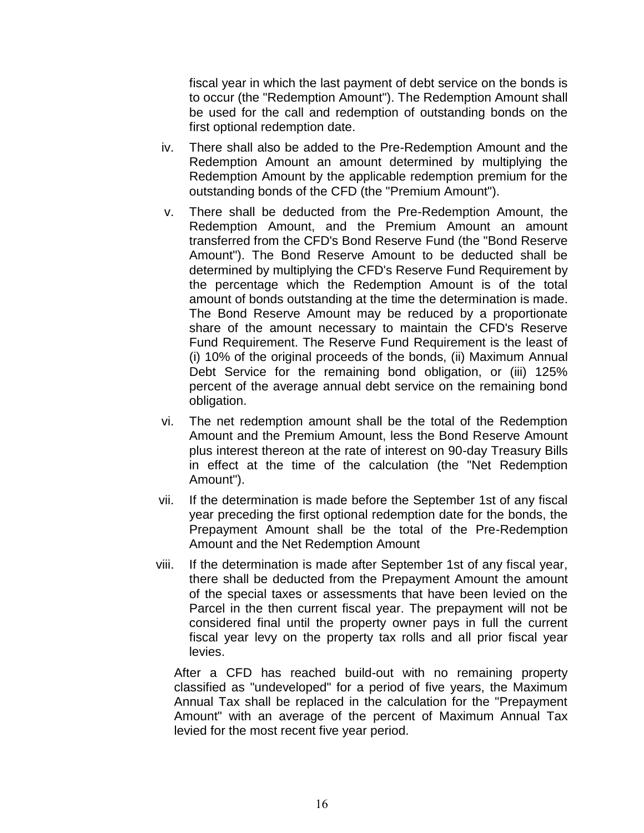fiscal year in which the last payment of debt service on the bonds is to occur (the "Redemption Amount"). The Redemption Amount shall be used for the call and redemption of outstanding bonds on the first optional redemption date.

- iv. There shall also be added to the Pre-Redemption Amount and the Redemption Amount an amount determined by multiplying the Redemption Amount by the applicable redemption premium for the outstanding bonds of the CFD (the "Premium Amount").
- v. There shall be deducted from the Pre-Redemption Amount, the Redemption Amount, and the Premium Amount an amount transferred from the CFD's Bond Reserve Fund (the "Bond Reserve Amount"). The Bond Reserve Amount to be deducted shall be determined by multiplying the CFD's Reserve Fund Requirement by the percentage which the Redemption Amount is of the total amount of bonds outstanding at the time the determination is made. The Bond Reserve Amount may be reduced by a proportionate share of the amount necessary to maintain the CFD's Reserve Fund Requirement. The Reserve Fund Requirement is the least of (i) 10% of the original proceeds of the bonds, (ii) Maximum Annual Debt Service for the remaining bond obligation, or (iii) 125% percent of the average annual debt service on the remaining bond obligation.
- vi. The net redemption amount shall be the total of the Redemption Amount and the Premium Amount, less the Bond Reserve Amount plus interest thereon at the rate of interest on 90-day Treasury Bills in effect at the time of the calculation (the "Net Redemption Amount").
- vii. If the determination is made before the September 1st of any fiscal year preceding the first optional redemption date for the bonds, the Prepayment Amount shall be the total of the Pre-Redemption Amount and the Net Redemption Amount
- viii. If the determination is made after September 1st of any fiscal year, there shall be deducted from the Prepayment Amount the amount of the special taxes or assessments that have been levied on the Parcel in the then current fiscal year. The prepayment will not be considered final until the property owner pays in full the current fiscal year levy on the property tax rolls and all prior fiscal year levies.

After a CFD has reached build-out with no remaining property classified as "undeveloped" for a period of five years, the Maximum Annual Tax shall be replaced in the calculation for the "Prepayment Amount" with an average of the percent of Maximum Annual Tax levied for the most recent five year period.